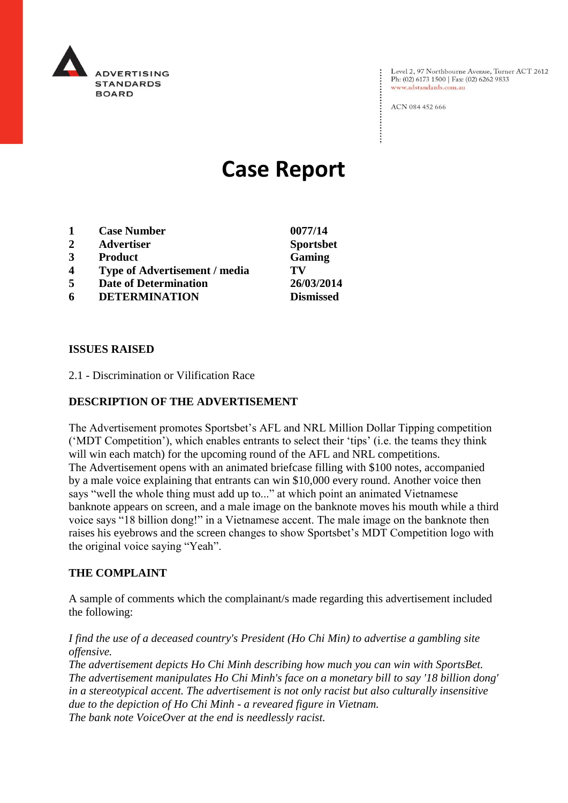

Level 2, 97 Northbourne Avenue, Turner ACT 2612<br>Ph: (02) 6173 1500 | Fax: (02) 6262 9833 www.adstandards.com.au

ACN 084 452 666

# **Case Report**

| 1                | <b>Case Number</b>                   | 0077/14          |
|------------------|--------------------------------------|------------------|
| $\mathbf{2}$     | <b>Advertiser</b>                    | <b>Sportsbet</b> |
| 3                | <b>Product</b>                       | Gaming           |
| $\boldsymbol{4}$ | <b>Type of Advertisement / media</b> | TV               |
| 5                | <b>Date of Determination</b>         | 26/03/2014       |
| 6                | <b>DETERMINATION</b>                 | <b>Dismissed</b> |

## **ISSUES RAISED**

2.1 - Discrimination or Vilification Race

# **DESCRIPTION OF THE ADVERTISEMENT**

The Advertisement promotes Sportsbet's AFL and NRL Million Dollar Tipping competition ('MDT Competition'), which enables entrants to select their 'tips' (i.e. the teams they think will win each match) for the upcoming round of the AFL and NRL competitions. The Advertisement opens with an animated briefcase filling with \$100 notes, accompanied by a male voice explaining that entrants can win \$10,000 every round. Another voice then says "well the whole thing must add up to..." at which point an animated Vietnamese banknote appears on screen, and a male image on the banknote moves his mouth while a third voice says "18 billion dong!" in a Vietnamese accent. The male image on the banknote then raises his eyebrows and the screen changes to show Sportsbet's MDT Competition logo with the original voice saying "Yeah".

#### **THE COMPLAINT**

A sample of comments which the complainant/s made regarding this advertisement included the following:

## *I find the use of a deceased country's President (Ho Chi Min) to advertise a gambling site offensive.*

*The advertisement depicts Ho Chi Minh describing how much you can win with SportsBet. The advertisement manipulates Ho Chi Minh's face on a monetary bill to say '18 billion dong' in a stereotypical accent. The advertisement is not only racist but also culturally insensitive due to the depiction of Ho Chi Minh - a reveared figure in Vietnam. The bank note VoiceOver at the end is needlessly racist.*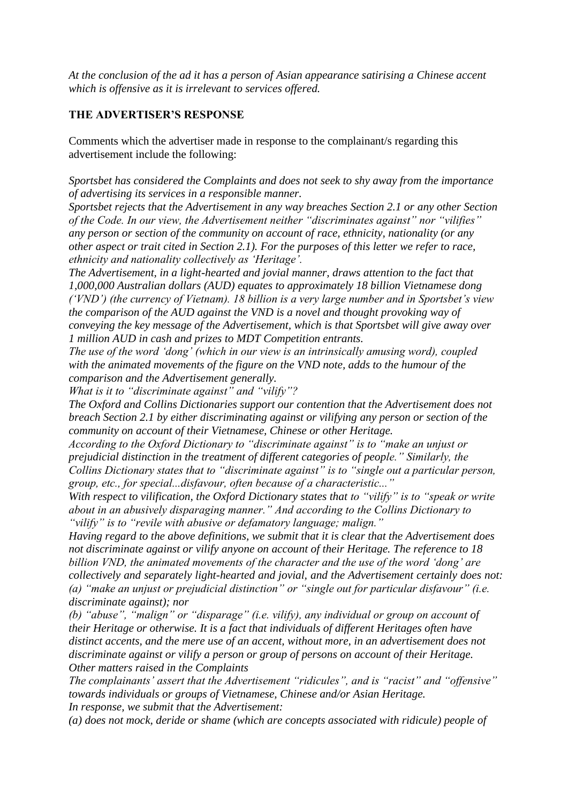*At the conclusion of the ad it has a person of Asian appearance satirising a Chinese accent which is offensive as it is irrelevant to services offered.*

# **THE ADVERTISER'S RESPONSE**

Comments which the advertiser made in response to the complainant/s regarding this advertisement include the following:

*Sportsbet has considered the Complaints and does not seek to shy away from the importance of advertising its services in a responsible manner.*

*Sportsbet rejects that the Advertisement in any way breaches Section 2.1 or any other Section of the Code. In our view, the Advertisement neither "discriminates against" nor "vilifies" any person or section of the community on account of race, ethnicity, nationality (or any other aspect or trait cited in Section 2.1). For the purposes of this letter we refer to race, ethnicity and nationality collectively as 'Heritage'.*

*The Advertisement, in a light-hearted and jovial manner, draws attention to the fact that 1,000,000 Australian dollars (AUD) equates to approximately 18 billion Vietnamese dong ('VND') (the currency of Vietnam). 18 billion is a very large number and in Sportsbet's view the comparison of the AUD against the VND is a novel and thought provoking way of conveying the key message of the Advertisement, which is that Sportsbet will give away over 1 million AUD in cash and prizes to MDT Competition entrants.*

*The use of the word 'dong' (which in our view is an intrinsically amusing word), coupled with the animated movements of the figure on the VND note, adds to the humour of the comparison and the Advertisement generally.*

*What is it to "discriminate against" and "vilify"?*

*The Oxford and Collins Dictionaries support our contention that the Advertisement does not breach Section 2.1 by either discriminating against or vilifying any person or section of the community on account of their Vietnamese, Chinese or other Heritage.*

*According to the Oxford Dictionary to "discriminate against" is to "make an unjust or prejudicial distinction in the treatment of different categories of people." Similarly, the Collins Dictionary states that to "discriminate against" is to "single out a particular person, group, etc., for special...disfavour, often because of a characteristic..."*

*With respect to vilification, the Oxford Dictionary states that to "vilify" is to "speak or write about in an abusively disparaging manner." And according to the Collins Dictionary to "vilify" is to "revile with abusive or defamatory language; malign."*

*Having regard to the above definitions, we submit that it is clear that the Advertisement does not discriminate against or vilify anyone on account of their Heritage. The reference to 18 billion VND, the animated movements of the character and the use of the word 'dong' are collectively and separately light-hearted and jovial, and the Advertisement certainly does not: (a) "make an unjust or prejudicial distinction" or "single out for particular disfavour" (i.e. discriminate against); nor*

*(b) "abuse", "malign" or "disparage" (i.e. vilify), any individual or group on account of their Heritage or otherwise. It is a fact that individuals of different Heritages often have distinct accents, and the mere use of an accent, without more, in an advertisement does not discriminate against or vilify a person or group of persons on account of their Heritage. Other matters raised in the Complaints*

*The complainants' assert that the Advertisement "ridicules", and is "racist" and "offensive" towards individuals or groups of Vietnamese, Chinese and/or Asian Heritage. In response, we submit that the Advertisement:*

*(a) does not mock, deride or shame (which are concepts associated with ridicule) people of*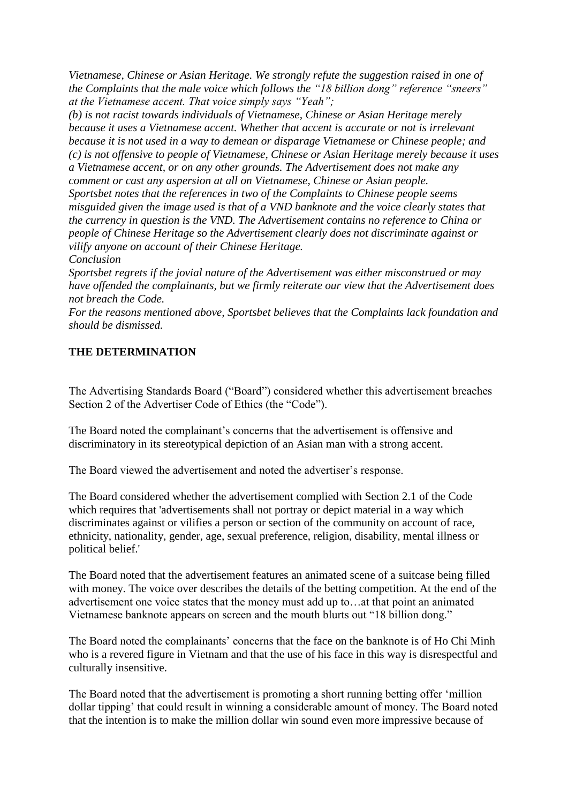*Vietnamese, Chinese or Asian Heritage. We strongly refute the suggestion raised in one of the Complaints that the male voice which follows the "18 billion dong" reference "sneers" at the Vietnamese accent. That voice simply says "Yeah";*

*(b) is not racist towards individuals of Vietnamese, Chinese or Asian Heritage merely because it uses a Vietnamese accent. Whether that accent is accurate or not is irrelevant because it is not used in a way to demean or disparage Vietnamese or Chinese people; and (c) is not offensive to people of Vietnamese, Chinese or Asian Heritage merely because it uses a Vietnamese accent, or on any other grounds. The Advertisement does not make any comment or cast any aspersion at all on Vietnamese, Chinese or Asian people. Sportsbet notes that the references in two of the Complaints to Chinese people seems misguided given the image used is that of a VND banknote and the voice clearly states that the currency in question is the VND. The Advertisement contains no reference to China or people of Chinese Heritage so the Advertisement clearly does not discriminate against or vilify anyone on account of their Chinese Heritage. Conclusion*

*Sportsbet regrets if the jovial nature of the Advertisement was either misconstrued or may have offended the complainants, but we firmly reiterate our view that the Advertisement does not breach the Code.*

*For the reasons mentioned above, Sportsbet believes that the Complaints lack foundation and should be dismissed.*

## **THE DETERMINATION**

The Advertising Standards Board ("Board") considered whether this advertisement breaches Section 2 of the Advertiser Code of Ethics (the "Code").

The Board noted the complainant's concerns that the advertisement is offensive and discriminatory in its stereotypical depiction of an Asian man with a strong accent.

The Board viewed the advertisement and noted the advertiser's response.

The Board considered whether the advertisement complied with Section 2.1 of the Code which requires that 'advertisements shall not portray or depict material in a way which discriminates against or vilifies a person or section of the community on account of race, ethnicity, nationality, gender, age, sexual preference, religion, disability, mental illness or political belief.'

The Board noted that the advertisement features an animated scene of a suitcase being filled with money. The voice over describes the details of the betting competition. At the end of the advertisement one voice states that the money must add up to…at that point an animated Vietnamese banknote appears on screen and the mouth blurts out "18 billion dong."

The Board noted the complainants' concerns that the face on the banknote is of Ho Chi Minh who is a revered figure in Vietnam and that the use of his face in this way is disrespectful and culturally insensitive.

The Board noted that the advertisement is promoting a short running betting offer 'million dollar tipping' that could result in winning a considerable amount of money. The Board noted that the intention is to make the million dollar win sound even more impressive because of